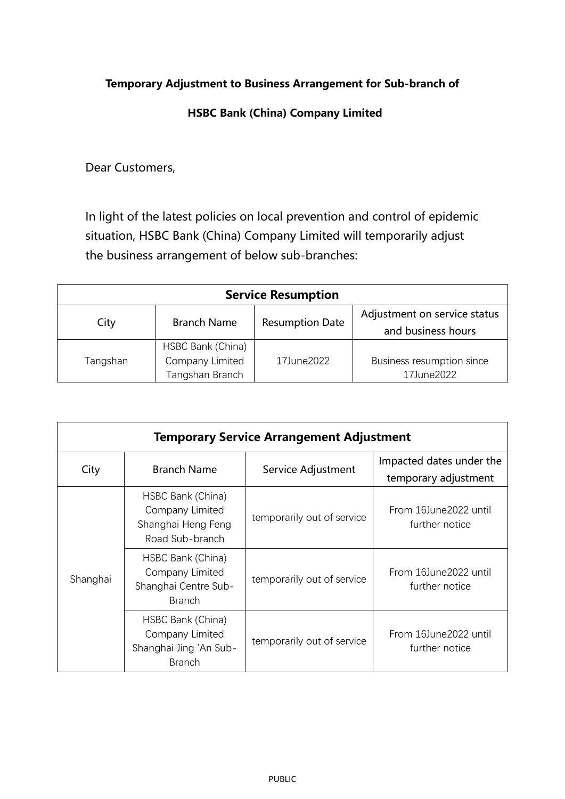## **Temporary Adjustment to Business Arrangement for Sub-branch of**

## **HSBC Bank (China) Company Limited**

Dear Customers,

In light of the latest policies on local prevention and control of epidemic situation, HSBC Bank (China) Company Limited will temporarily adjust the business arrangement of below sub-branches:

| <b>Service Resumption</b> |                                                         |                        |                                                    |  |  |
|---------------------------|---------------------------------------------------------|------------------------|----------------------------------------------------|--|--|
| City                      | <b>Branch Name</b>                                      | <b>Resumption Date</b> | Adjustment on service status<br>and business hours |  |  |
| Tangshan                  | HSBC Bank (China)<br>Company Limited<br>Tangshan Branch | 17June2022             | Business resumption since<br>17June2022            |  |  |

| <b>Temporary Service Arrangement Adjustment</b> |                                                                                 |                            |                                                  |  |  |
|-------------------------------------------------|---------------------------------------------------------------------------------|----------------------------|--------------------------------------------------|--|--|
| City                                            | <b>Branch Name</b>                                                              | Service Adjustment         | Impacted dates under the<br>temporary adjustment |  |  |
| Shanghai                                        | HSBC Bank (China)<br>Company Limited<br>Shanghai Heng Feng<br>Road Sub-branch   | temporarily out of service | From 16June2022 until<br>further notice          |  |  |
|                                                 | HSBC Bank (China)<br>Company Limited<br>Shanghai Centre Sub-<br><b>Branch</b>   | temporarily out of service | From 16June2022 until<br>further notice          |  |  |
|                                                 | HSBC Bank (China)<br>Company Limited<br>Shanghai Jing 'An Sub-<br><b>Branch</b> | temporarily out of service | From 16June2022 until<br>further notice          |  |  |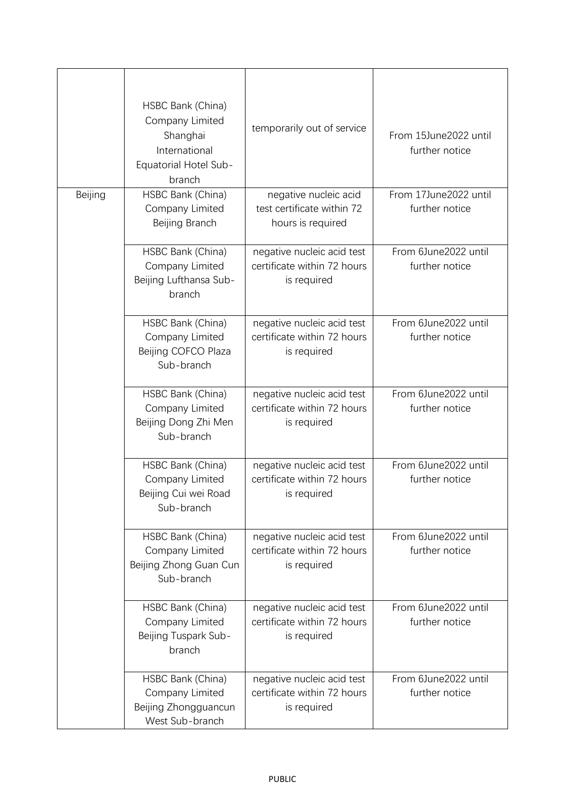|         | HSBC Bank (China)<br>Company Limited<br>Shanghai<br>International<br><b>Equatorial Hotel Sub-</b><br>branch | temporarily out of service                                               | From 15June2022 until<br>further notice |
|---------|-------------------------------------------------------------------------------------------------------------|--------------------------------------------------------------------------|-----------------------------------------|
| Beijing | HSBC Bank (China)<br>Company Limited<br>Beijing Branch                                                      | negative nucleic acid<br>test certificate within 72<br>hours is required | From 17June2022 until<br>further notice |
|         | HSBC Bank (China)<br>Company Limited<br>Beijing Lufthansa Sub-<br>branch                                    | negative nucleic acid test<br>certificate within 72 hours<br>is required | From 6June2022 until<br>further notice  |
|         | HSBC Bank (China)<br>Company Limited<br>Beijing COFCO Plaza<br>Sub-branch                                   | negative nucleic acid test<br>certificate within 72 hours<br>is required | From 6June2022 until<br>further notice  |
|         | HSBC Bank (China)<br>Company Limited<br>Beijing Dong Zhi Men<br>Sub-branch                                  | negative nucleic acid test<br>certificate within 72 hours<br>is required | From 6June2022 until<br>further notice  |
|         | HSBC Bank (China)<br>Company Limited<br>Beijing Cui wei Road<br>Sub-branch                                  | negative nucleic acid test<br>certificate within 72 hours<br>is required | From 6June2022 until<br>further notice  |
|         | HSBC Bank (China)<br>Company Limited<br>Beijing Zhong Guan Cun<br>Sub-branch                                | negative nucleic acid test<br>certificate within 72 hours<br>is required | From 6June2022 until<br>further notice  |
|         | HSBC Bank (China)<br>Company Limited<br>Beijing Tuspark Sub-<br>branch                                      | negative nucleic acid test<br>certificate within 72 hours<br>is required | From 6June2022 until<br>further notice  |
|         | HSBC Bank (China)<br>Company Limited<br>Beijing Zhongguancun<br>West Sub-branch                             | negative nucleic acid test<br>certificate within 72 hours<br>is required | From 6June2022 until<br>further notice  |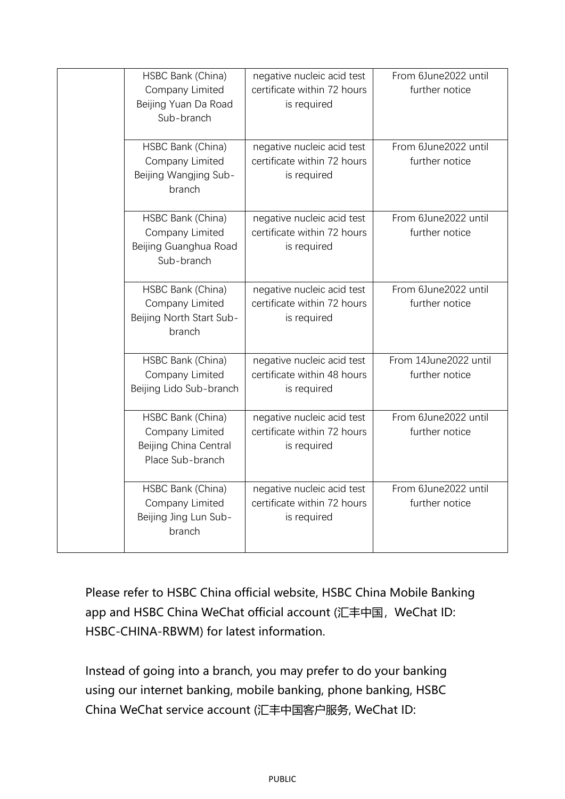| HSBC Bank (China)<br>Company Limited<br>Beijing Yuan Da Road<br>Sub-branch        | negative nucleic acid test<br>certificate within 72 hours<br>is required | From 6June2022 until<br>further notice  |
|-----------------------------------------------------------------------------------|--------------------------------------------------------------------------|-----------------------------------------|
| HSBC Bank (China)<br>Company Limited<br>Beijing Wangjing Sub-<br>branch           | negative nucleic acid test<br>certificate within 72 hours<br>is required | From 6June2022 until<br>further notice  |
| HSBC Bank (China)<br>Company Limited<br>Beijing Guanghua Road<br>Sub-branch       | negative nucleic acid test<br>certificate within 72 hours<br>is required | From 6June2022 until<br>further notice  |
| HSBC Bank (China)<br>Company Limited<br>Beijing North Start Sub-<br>branch        | negative nucleic acid test<br>certificate within 72 hours<br>is required | From 6June2022 until<br>further notice  |
| HSBC Bank (China)<br>Company Limited<br>Beijing Lido Sub-branch                   | negative nucleic acid test<br>certificate within 48 hours<br>is required | From 14June2022 until<br>further notice |
| HSBC Bank (China)<br>Company Limited<br>Beijing China Central<br>Place Sub-branch | negative nucleic acid test<br>certificate within 72 hours<br>is required | From 6June2022 until<br>further notice  |
| HSBC Bank (China)<br>Company Limited<br>Beijing Jing Lun Sub-<br>branch           | negative nucleic acid test<br>certificate within 72 hours<br>is required | From 6June2022 until<br>further notice  |

Please refer to HSBC China official website, HSBC China Mobile Banking app and HSBC China WeChat official account (汇丰中国, WeChat ID: HSBC-CHINA-RBWM) for latest information.

Instead of going into a branch, you may prefer to do your banking using our internet banking, mobile banking, phone banking, HSBC China WeChat service account (汇丰中国客户服务, WeChat ID: